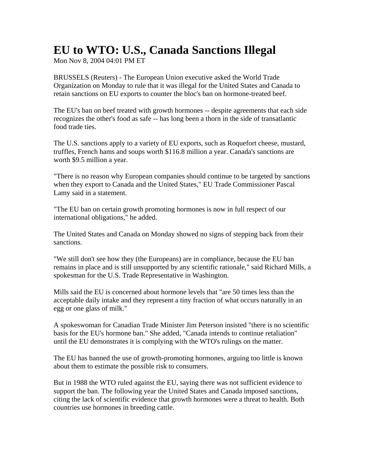## **EU to WTO: U.S., Canada Sanctions Illegal**

Mon Nov 8, 2004 04:01 PM ET

BRUSSELS (Reuters) - The European Union executive asked the World Trade Organization on Monday to rule that it was illegal for the United States and Canada to retain sanctions on EU exports to counter the bloc's ban on hormone-treated beef.

The EU's ban on beef treated with growth hormones -- despite agreements that each side recognizes the other's food as safe -- has long been a thorn in the side of transatlantic food trade ties.

The U.S. sanctions apply to a variety of EU exports, such as Roquefort cheese, mustard, truffles, French hams and soups worth \$116.8 million a year. Canada's sanctions are worth \$9.5 million a year.

"There is no reason why European companies should continue to be targeted by sanctions when they export to Canada and the United States," EU Trade Commissioner Pascal Lamy said in a statement.

"The EU ban on certain growth promoting hormones is now in full respect of our international obligations," he added.

The United States and Canada on Monday showed no signs of stepping back from their sanctions.

"We still don't see how they (the Europeans) are in compliance, because the EU ban remains in place and is still unsupported by any scientific rationale," said Richard Mills, a spokesman for the U.S. Trade Representative in Washington.

Mills said the EU is concerned about hormone levels that "are 50 times less than the acceptable daily intake and they represent a tiny fraction of what occurs naturally in an egg or one glass of milk."

A spokeswoman for Canadian Trade Minister Jim Peterson insisted "there is no scientific basis for the EU's hormone ban." She added, "Canada intends to continue retaliation" until the EU demonstrates it is complying with the WTO's rulings on the matter.

The EU has banned the use of growth-promoting hormones, arguing too little is known about them to estimate the possible risk to consumers.

But in 1988 the WTO ruled against the EU, saying there was not sufficient evidence to support the ban. The following year the United States and Canada imposed sanctions, citing the lack of scientific evidence that growth hormones were a threat to health. Both countries use hormones in breeding cattle.